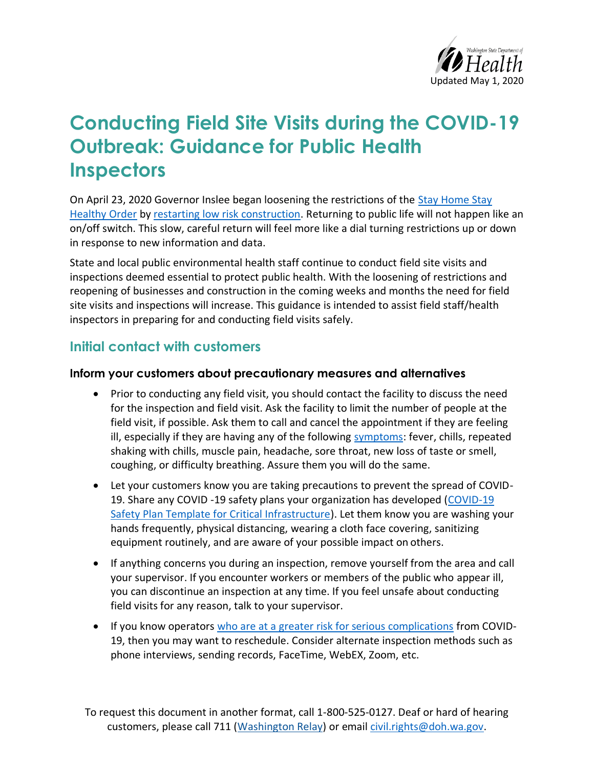

# **Conducting Field Site Visits during the COVID-19 Outbreak: Guidance for Public Health Inspectors**

On April 23, 2020 Governor Inslee began loosening the restrictions of the [Stay Home Stay](https://www.governor.wa.gov/sites/default/files/proclamations/20-25%20Coronovirus%20Stay%20Safe-Stay%20Healthy%20%28tmp%29%20%28002%29.pdf?utm_medium=email&utm_source=govdelivery)  [Healthy Order](https://www.governor.wa.gov/sites/default/files/proclamations/20-25%20Coronovirus%20Stay%20Safe-Stay%20Healthy%20%28tmp%29%20%28002%29.pdf?utm_medium=email&utm_source=govdelivery) by [restarting low risk construction.](https://www.governor.wa.gov/sites/default/files/proclamations/20-25%20Addendum%20Implementation%20of%20Phase%201%20Construction%20Restart%20Proclamation.pdf) Returning to public life will not happen like an on/off switch. This slow, careful return will feel more like a dial turning restrictions up or down in response to new information and data.

State and local public environmental health staff continue to conduct field site visits and inspections deemed essential to protect public health. With the loosening of restrictions and reopening of businesses and construction in the coming weeks and months the need for field site visits and inspections will increase. This guidance is intended to assist field staff/health inspectors in preparing for and conducting field visits safely.

# **Initial contact with customers**

#### **Inform your customers about precautionary measures and alternatives**

- Prior to conducting any field visit, you should contact the facility to discuss the need for the inspection and field visit. Ask the facility to limit the number of people at the field visit, if possible. Ask them to call and cancel the appointment if they are feeling ill, especially if they are having any of the following [symptoms:](https://www.doh.wa.gov/Emergencies/NovelCoronavirusOutbreak2020COVID19/FrequentlyAskedQuestions#what-are-symptoms) fever, chills, repeated shaking with chills, muscle pain, headache, sore throat, new loss of taste or smell, coughing, or difficulty breathing. Assure them you will do the same.
- Let your customers know you are taking precautions to prevent the spread of COVID-19. Share any COVID -19 safety plans your organization has developed (COVID-19 [Safety Plan Template for Critical Infrastructure\)](https://www.doh.wa.gov/Portals/1/Documents/1600/coronavirus/COVID-19SafetyPlanTemplate04212020.docx). Let them know you are washing your hands frequently, physical distancing, wearing a cloth face covering, sanitizing equipment routinely, and are aware of your possible impact on others.
- If anything concerns you during an inspection, remove yourself from the area and call your supervisor. If you encounter workers or members of the public who appear ill, you can discontinue an inspection at any time. If you feel unsafe about conducting field visits for any reason, talk to your supervisor.
- If you know operators [who are at a greater risk for serious complications](https://www.cdc.gov/coronavirus/2019-ncov/need-extra-precautions/groups-at-higher-risk.html) from COVID-19, then you may want to reschedule. Consider alternate inspection methods such as phone interviews, sending records, FaceTime, WebEX, Zoom, etc.

To request this document in another format, call 1-800-525-0127. Deaf or hard of hearing customers, please call 711 (Washington Relay) or email [civil.rights@doh.wa.gov.](mailto:civil.rights@doh.wa.gov)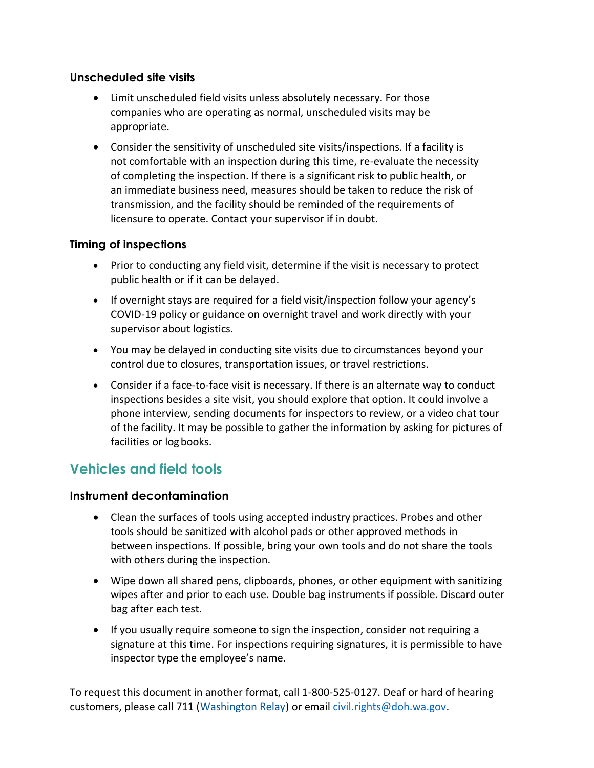#### **Unscheduled site visits**

- Limit unscheduled field visits unless absolutely necessary. For those companies who are operating as normal, unscheduled visits may be appropriate.
- Consider the sensitivity of unscheduled site visits/inspections. If a facility is not comfortable with an inspection during this time, re-evaluate the necessity of completing the inspection. If there is a significant risk to public health, or an immediate business need, measures should be taken to reduce the risk of transmission, and the facility should be reminded of the requirements of licensure to operate. Contact your supervisor if in doubt.

## **Timing of inspections**

- Prior to conducting any field visit, determine if the visit is necessary to protect public health or if it can be delayed.
- If overnight stays are required for a field visit/inspection follow your agency's COVID-19 policy or guidance on overnight travel and work directly with your supervisor about logistics.
- You may be delayed in conducting site visits due to circumstances beyond your control due to closures, transportation issues, or travel restrictions.
- Consider if a face-to-face visit is necessary. If there is an alternate way to conduct inspections besides a site visit, you should explore that option. It could involve a phone interview, sending documents for inspectors to review, or a video chat tour of the facility. It may be possible to gather the information by asking for pictures of facilities or log books.

# **Vehicles and field tools**

#### **Instrument decontamination**

- Clean the surfaces of tools using accepted industry practices. Probes and other tools should be sanitized with alcohol pads or other approved methods in between inspections. If possible, bring your own tools and do not share the tools with others during the inspection.
- Wipe down all shared pens, clipboards, phones, or other equipment with sanitizing wipes after and prior to each use. Double bag instruments if possible. Discard outer bag after each test.
- If you usually require someone to sign the inspection, consider not requiring a signature at this time. For inspections requiring signatures, it is permissible to have inspector type the employee's name.

To request this document in another format, call 1-800-525-0127. Deaf or hard of hearing customers, please call 711 (Washington Relay) or email [civil.rights@doh.wa.gov.](mailto:civil.rights@doh.wa.gov)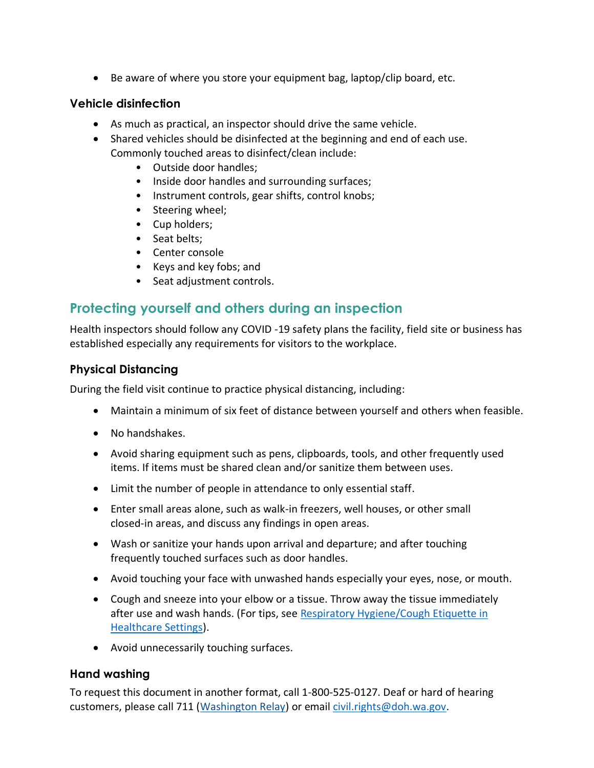• Be aware of where you store your equipment bag, laptop/clip board, etc.

#### **Vehicle disinfection**

- As much as practical, an inspector should drive the same vehicle.
- Shared vehicles should be disinfected at the beginning and end of each use. Commonly touched areas to disinfect/clean include:
	- Outside door handles;
	- Inside door handles and surrounding surfaces;
	- Instrument controls, gear shifts, control knobs;
	- Steering wheel;
	- Cup holders;
	- Seat belts;
	- Center console
	- Keys and key fobs; and
	- Seat adjustment controls.

# **Protecting yourself and others during an inspection**

Health inspectors should follow any COVID -19 safety plans the facility, field site or business has established especially any requirements for visitors to the workplace.

## **Physical Distancing**

During the field visit continue to practice physical distancing, including:

- Maintain a minimum of six feet of distance between yourself and others when feasible.
- No handshakes.
- Avoid sharing equipment such as pens, clipboards, tools, and other frequently used items. If items must be shared clean and/or sanitize them between uses.
- Limit the number of people in attendance to only essential staff.
- Enter small areas alone, such as walk-in freezers, well houses, or other small closed-in areas, and discuss any findings in open areas.
- Wash or sanitize your hands upon arrival and departure; and after touching frequently touched surfaces such as door handles.
- Avoid touching your face with unwashed hands especially your eyes, nose, or mouth.
- Cough and sneeze into your elbow or a tissue. Throw away the tissue immediately after use and wash hands. (For tips, see Respiratory Hygiene/Cough Etiquette in Healthcare Settings).
- Avoid unnecessarily touching surfaces.

## **Hand washing**

To request this document in another format, call 1-800-525-0127. Deaf or hard of hearing customers, please call 711 (Washington Relay) or email [civil.rights@doh.wa.gov.](mailto:civil.rights@doh.wa.gov)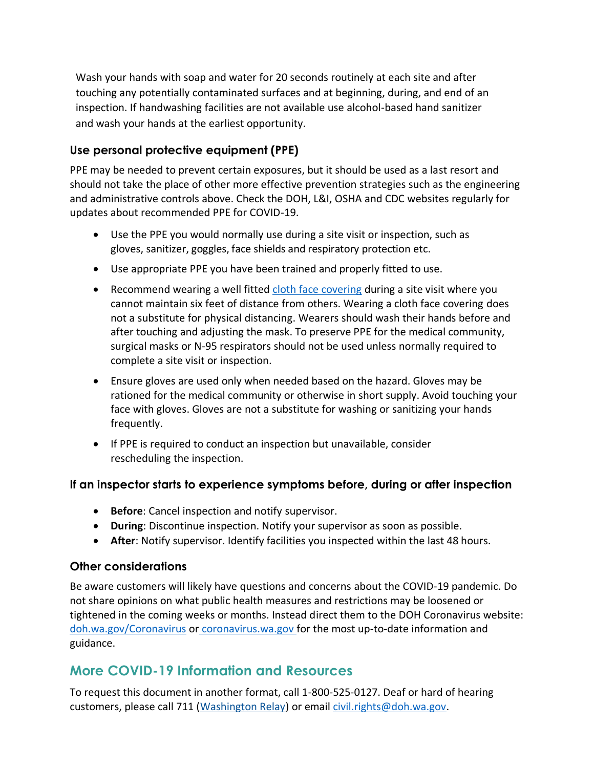Wash your hands with soap and water for 20 seconds routinely at each site and after touching any potentially contaminated surfaces and at beginning, during, and end of an inspection. If handwashing facilities are not available use alcohol-based hand sanitizer and wash your hands at the earliest opportunity.

# **Use personal protective equipment (PPE)**

PPE may be needed to prevent certain exposures, but it should be used as a last resort and should not take the place of other more effective prevention strategies such as the engineering and administrative controls above. Check the DOH, L&I, OSHA and CDC websites regularly for updates about recommended PPE for COVID-19.

- Use the PPE you would normally use during a site visit or inspection, such as gloves, sanitizer, goggles, face shields and respiratory protection etc.
- Use appropriate PPE you have been trained and properly fitted to use.
- Recommend wearing a well fitted [cloth face covering](https://www.doh.wa.gov/Portals/1/Documents/1600/coronavirus/ClothFacemasks.pdf) during a site visit where you cannot maintain six feet of distance from others. Wearing a cloth face covering does not a substitute for physical distancing. Wearers should wash their hands before and after touching and adjusting the mask. To preserve PPE for the medical community, surgical masks or N-95 respirators should not be used unless normally required to complete a site visit or inspection.
- Ensure gloves are used only when needed based on the hazard. Gloves may be rationed for the medical community or otherwise in short supply. Avoid touching your face with gloves. Gloves are not a substitute for washing or sanitizing your hands frequently.
- If PPE is required to conduct an inspection but unavailable, consider rescheduling the inspection.

## **If an inspector starts to experience symptoms before, during or after inspection**

- **Before**: Cancel inspection and notify supervisor.
- **During**: Discontinue inspection. Notify your supervisor as soon as possible.
- **After**: Notify supervisor. Identify facilities you inspected within the last 48 hours.

## **Other considerations**

Be aware customers will likely have questions and concerns about the COVID-19 pandemic. Do not share opinions on what public health measures and restrictions may be loosened or tightened in the coming weeks or months. Instead direct them to the DOH Coronavirus website: [doh.wa.gov/Coronavirus](https://www.doh.wa.gov/Emergencies/Coronavirus) or coronavirus.wa.gov for the most up-to-date information and guidance.

# **More COVID-19 Information and Resources**

To request this document in another format, call 1-800-525-0127. Deaf or hard of hearing customers, please call 711 (Washington Relay) or email [civil.rights@doh.wa.gov.](mailto:civil.rights@doh.wa.gov)